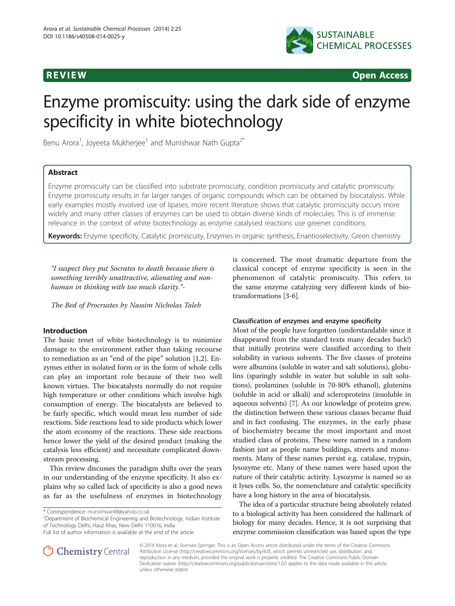

**REVIEW CONSIDERING CONSIDERING CONSIDERING CONSIDERING CONSIDERING CONSIDERING CONSIDERING CONSIDERING CONSIDERING CONSIDERING CONSIDERING CONSIDERING CONSIDERING CONSIDERING CONSIDERING CONSIDERING CONSIDERING CONSIDER** 

# Enzyme promiscuity: using the dark side of enzyme specificity in white biotechnology

Benu Arora<sup>1</sup>, Joyeeta Mukherjee<sup>1</sup> and Munishwar Nath Gupta<sup>2\*</sup>

### Abstract

Enzyme promiscuity can be classified into substrate promiscuity, condition promiscuity and catalytic promiscuity. Enzyme promiscuity results in far larger ranges of organic compounds which can be obtained by biocatalysis. While early examples mostly involved use of lipases, more recent literature shows that catalytic promiscuity occurs more widely and many other classes of enzymes can be used to obtain diverse kinds of molecules. This is of immense relevance in the context of white biotechnology as enzyme catalysed reactions use greener conditions.

Keywords: Enzyme specificity, Catalytic promiscuity, Enzymes in organic synthesis, Enantioselectivity, Green chemistry

"I suspect they put Socrates to death because there is something terribly unattractive, alienating and nonhuman in thinking with too much clarity."-

The Bed of Procrustes by Nassim Nicholas Taleb

### Introduction

The basic tenet of white biotechnology is to minimize damage to the environment rather than taking recourse to remediation as an "end of the pipe" solution [[1,2\]](#page-7-0). Enzymes either in isolated form or in the form of whole cells can play an important role because of their two well known virtues. The biocatalysts normally do not require high temperature or other conditions which involve high consumption of energy. The biocatalysts are believed to be fairly specific, which would mean less number of side reactions. Side reactions lead to side products which lower the atom economy of the reactions. These side reactions hence lower the yield of the desired product (making the catalysis less efficient) and necessitate complicated downstream processing.

This review discusses the paradigm shifts over the years in our understanding of the enzyme specificity. It also explains why so called lack of specificity is also a good news as far as the usefulness of enzymes in biotechnology

 $2$ Department of Biochemical Engineering and Biotechnology, Indian Institute of Technology Delhi, Hauz Khas, New Delhi 110016, India

is concerned. The most dramatic departure from the classical concept of enzyme specificity is seen in the phenomenon of catalytic promiscuity. This refers to the same enzyme catalyzing very different kinds of biotransformations [[3-6](#page-7-0)].

### Classification of enzymes and enzyme specificity

Most of the people have forgotten (understandable since it disappeared from the standard texts many decades back!) that initially proteins were classified according to their solubility in various solvents. The five classes of proteins were albumins (soluble in water and salt solutions), globulins (sparingly soluble in water but soluble in salt solutions), prolamines (soluble in 70-80% ethanol), glutenins (soluble in acid or alkali) and scleroproteins (insoluble in aqueous solvents) [[7\]](#page-7-0). As our knowledge of proteins grew, the distinction between these various classes became fluid and in fact confusing. The enzymes, in the early phase of biochemistry became the most important and most studied class of proteins. These were named in a random fashion just as people name buildings, streets and monuments. Many of these names persist e.g. catalase, trypsin, lysozyme etc. Many of these names were based upon the nature of their catalytic activity. Lysozyme is named so as it lyses cells. So, the nomenclature and catalytic specificity have a long history in the area of biocatalysis.

The idea of a particular structure being absolutely related to a biological activity has been considered the hallmark of biology for many decades. Hence, it is not surprising that enzyme commission classification was based upon the type



© 2014 Arora et al.; licensee Springer. This is an Open Access article distributed under the terms of the Creative Commons Attribution License [\(http://creativecommons.org/licenses/by/4.0\)](http://creativecommons.org/licenses/by/4.0), which permits unrestricted use, distribution, and reproduction in any medium, provided the original work is properly credited. The Creative Commons Public Domain Dedication waiver ([http://creativecommons.org/publicdomain/zero/1.0/\)](http://creativecommons.org/publicdomain/zero/1.0/) applies to the data made available in this article, unless otherwise stated.

<sup>\*</sup> Correspondence: [munishwar48@yahoo.co.uk](mailto:munishwar48@yahoo.co.uk) <sup>2</sup>

Full list of author information is available at the end of the article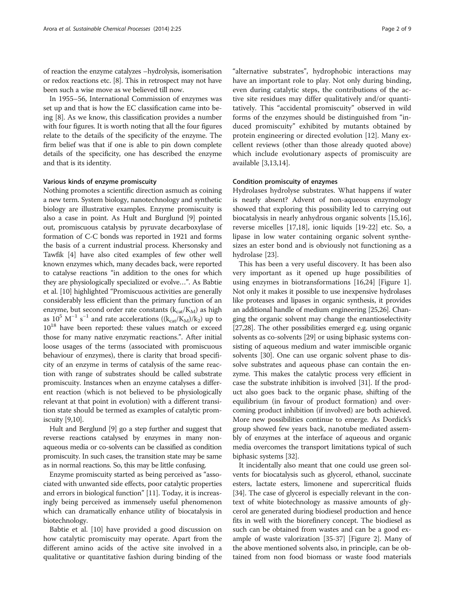of reaction the enzyme catalyzes –hydrolysis, isomerisation or redox reactions etc. [\[8\]](#page-7-0). This in retrospect may not have been such a wise move as we believed till now.

In 1955–56, International Commission of enzymes was set up and that is how the EC classification came into being [\[8](#page-7-0)]. As we know, this classification provides a number with four figures. It is worth noting that all the four figures relate to the details of the specificity of the enzyme. The firm belief was that if one is able to pin down complete details of the specificity, one has described the enzyme and that is its identity.

### Various kinds of enzyme promiscuity

Nothing promotes a scientific direction asmuch as coining a new term. System biology, nanotechnology and synthetic biology are illustrative examples. Enzyme promiscuity is also a case in point. As Hult and Burglund [[9\]](#page-7-0) pointed out, promiscuous catalysis by pyruvate decarboxylase of formation of C-C bonds was reported in 1921 and forms the basis of a current industrial process. Khersonsky and Tawfik [[4](#page-7-0)] have also cited examples of few other well known enzymes which, many decades back, were reported to catalyse reactions "in addition to the ones for which they are physiologically specialized or evolve…". As Babtie et al. [\[10](#page-7-0)] highlighted "Promiscuous activities are generally considerably less efficient than the primary function of an enzyme, but second order rate constants  $(k_{cat}/K_M)$  as high as  $10^5$  M<sup>-1</sup> s<sup>-1</sup> and rate accelerations (( $(k_{cat}/K_M)/k_2$ ) up to  $10^{18}$  have been reported: these values match or exceed those for many native enzymatic reactions.". After initial loose usages of the terms (associated with promiscuous behaviour of enzymes), there is clarity that broad specificity of an enzyme in terms of catalysis of the same reaction with range of substrates should be called substrate promiscuity. Instances when an enzyme catalyses a different reaction (which is not believed to be physiologically relevant at that point in evolution) with a different transition state should be termed as examples of catalytic promiscuity [\[9,10](#page-7-0)].

Hult and Berglund [\[9](#page-7-0)] go a step further and suggest that reverse reactions catalysed by enzymes in many nonaqueous media or co-solvents can be classified as condition promiscuity. In such cases, the transition state may be same as in normal reactions. So, this may be little confusing.

Enzyme promiscuity started as being perceived as "associated with unwanted side effects, poor catalytic properties and errors in biological function" [[11](#page-7-0)]. Today, it is increasingly being perceived as immensely useful phenomenon which can dramatically enhance utility of biocatalysis in biotechnology.

Babtie et al. [\[10\]](#page-7-0) have provided a good discussion on how catalytic promiscuity may operate. Apart from the different amino acids of the active site involved in a qualitative or quantitative fashion during binding of the

"alternative substrates", hydrophobic interactions may have an important role to play. Not only during binding, even during catalytic steps, the contributions of the active site residues may differ qualitatively and/or quantitatively. This "accidental promiscuity" observed in wild forms of the enzymes should be distinguished from "induced promiscuity" exhibited by mutants obtained by protein engineering or directed evolution [\[12\]](#page-7-0). Many excellent reviews (other than those already quoted above) which include evolutionary aspects of promiscuity are available [[3,13](#page-7-0),[14](#page-7-0)].

### Condition promiscuity of enzymes

Hydrolases hydrolyse substrates. What happens if water is nearly absent? Advent of non-aqueous enzymology showed that exploring this possibility led to carrying out biocatalysis in nearly anhydrous organic solvents [\[15,16](#page-7-0)], reverse micelles [\[17,18](#page-7-0)], ionic liquids [[19](#page-7-0)-[22\]](#page-7-0) etc. So, a lipase in low water containing organic solvent synthesizes an ester bond and is obviously not functioning as a hydrolase [[23\]](#page-7-0).

This has been a very useful discovery. It has been also very important as it opened up huge possibilities of using enzymes in biotransformations [\[16,24](#page-7-0)] [Figure [1](#page-2-0)]. Not only it makes it possible to use inexpensive hydrolases like proteases and lipases in organic synthesis, it provides an additional handle of medium engineering [\[25,26](#page-7-0)]. Changing the organic solvent may change the enantioselectivity [[27,28\]](#page-7-0). The other possibilities emerged e.g. using organic solvents as co-solvents [[29\]](#page-7-0) or using biphasic systems consisting of aqueous medium and water immiscible organic solvents [[30](#page-7-0)]. One can use organic solvent phase to dissolve substrates and aqueous phase can contain the enzyme. This makes the catalytic process very efficient in case the substrate inhibition is involved [\[31](#page-7-0)]. If the product also goes back to the organic phase, shifting of the equilibrium (in favour of product formation) and overcoming product inhibition (if involved) are both achieved. More new possibilities continue to emerge. As Dordick's group showed few years back, nanotube mediated assembly of enzymes at the interface of aqueous and organic media overcomes the transport limitations typical of such biphasic systems [[32](#page-7-0)].

It incidentally also meant that one could use green solvents for biocatalysis such as glycerol, ethanol, succinate esters, lactate esters, limonene and supercritical fluids [[34](#page-7-0)]. The case of glycerol is especially relevant in the context of white biotechnology as massive amounts of glycerol are generated during biodiesel production and hence fits in well with the biorefinery concept. The biodiesel as such can be obtained from wastes and can be a good example of waste valorization [\[35-37](#page-7-0)] [Figure [2](#page-2-0)]. Many of the above mentioned solvents also, in principle, can be obtained from non food biomass or waste food materials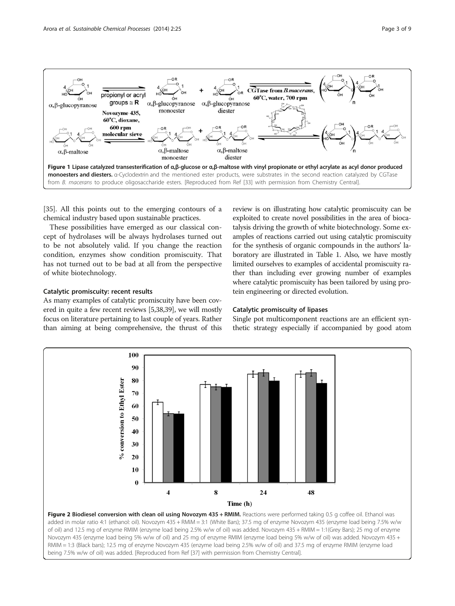

<span id="page-2-0"></span>

[[35](#page-7-0)]. All this points out to the emerging contours of a chemical industry based upon sustainable practices.

These possibilities have emerged as our classical concept of hydrolases will be always hydrolases turned out to be not absolutely valid. If you change the reaction condition, enzymes show condition promiscuity. That has not turned out to be bad at all from the perspective of white biotechnology.

### Catalytic promiscuity: recent results

As many examples of catalytic promiscuity have been covered in quite a few recent reviews [\[5,38,39](#page-7-0)], we will mostly focus on literature pertaining to last couple of years. Rather than aiming at being comprehensive, the thrust of this

review is on illustrating how catalytic promiscuity can be exploited to create novel possibilities in the area of biocatalysis driving the growth of white biotechnology. Some examples of reactions carried out using catalytic promiscuity for the synthesis of organic compounds in the authors' laboratory are illustrated in Table [1](#page-3-0). Also, we have mostly limited ourselves to examples of accidental promiscuity rather than including ever growing number of examples where catalytic promiscuity has been tailored by using protein engineering or directed evolution.

### Catalytic promiscuity of lipases

Single pot multicomponent reactions are an efficient synthetic strategy especially if accompanied by good atom



of oil) and 12.5 mg of enzyme RMIM (enzyme load being 2.5% w/w of oil) was added. Novozym 435 + RMIM = 1:1(Grey Bars); 25 mg of enzyme Novozym 435 (enzyme load being 5% w/w of oil) and 25 mg of enzyme RMIM (enzyme load being 5% w/w of oil) was added. Novozym 435 + RMIM = 1:3 (Black bars); 12.5 mg of enzyme Novozym 435 (enzyme load being 2.5% w/w of oil) and 37.5 mg of enzyme RMIM (enzyme load being 7.5% w/w of oil) was added. [Reproduced from Ref [[37](#page-7-0)] with permission from Chemistry Central].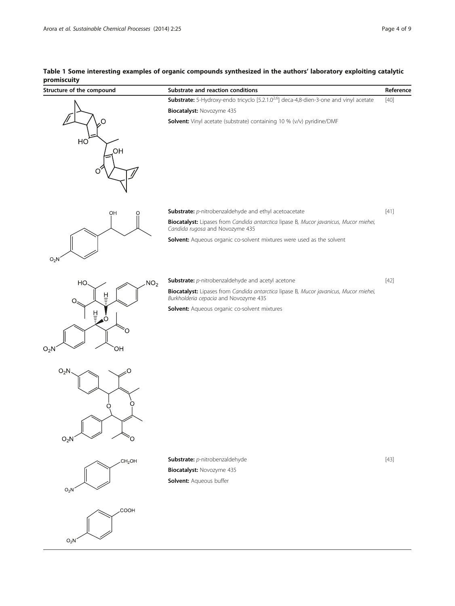## <span id="page-3-0"></span>Table 1 Some interesting examples of organic compounds synthesized in the authors' laboratory exploiting catalytic promiscuity

| promocarty<br>Structure of the compound                                    | Substrate and reaction conditions                                                                                                                                                                                                                          | Reference |
|----------------------------------------------------------------------------|------------------------------------------------------------------------------------------------------------------------------------------------------------------------------------------------------------------------------------------------------------|-----------|
| Ω<br>HO<br>OH.                                                             | <b>Substrate:</b> 5-Hydroxy-endo tricyclo $[5.2.1.0^{2.6}]$ deca-4,8-dien-3-one and vinyl acetate<br>Biocatalyst: Novozyme 435<br>Solvent: Vinyl acetate (substrate) containing 10 % (v/v) pyridine/DMF                                                    | $[40]$    |
| OH                                                                         | Substrate: p-nitrobenzaldehyde and ethyl acetoacetate<br>Biocatalyst: Lipases from Candida antarctica lipase B, Mucor javanicus, Mucor miehei,<br>Candida rugosa and Novozyme 435<br>Solvent: Aqueous organic co-solvent mixtures were used as the solvent | $[41]$    |
| $O_2N$<br>NO <sub>2</sub><br>HO.<br>브<br>O.<br>블<br>O<br>∩<br>$O_2N$<br>OH | Substrate: p-nitrobenzaldehyde and acetyl acetone<br>Biocatalyst: Lipases from Candida antarctica lipase B, Mucor javanicus, Mucor miehei,<br>Burkholderia cepacia and Novozyme 435<br>Solvent: Aqueous organic co-solvent mixtures                        | $[42]$    |
| O <sub>2</sub> N<br>O <sub>2</sub> N                                       |                                                                                                                                                                                                                                                            |           |
| CH <sub>2</sub> OH<br>$O_2N$                                               | Substrate: p-nitrobenzaldehyde<br>Biocatalyst: Novozyme 435<br>Solvent: Aqueous buffer                                                                                                                                                                     | $[43]$    |
| <b>COOH</b><br>O <sub>2</sub> N                                            |                                                                                                                                                                                                                                                            |           |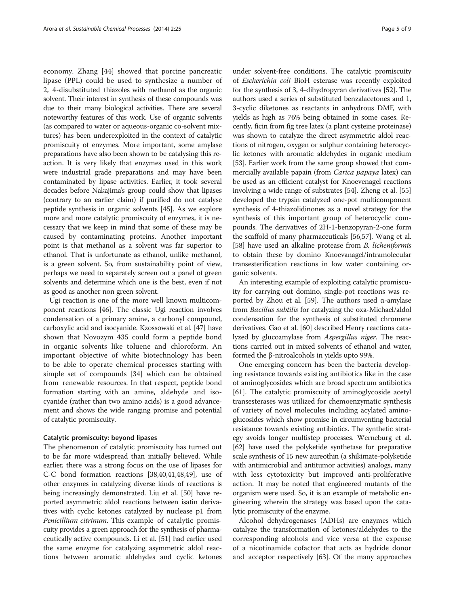economy. Zhang [[44](#page-8-0)] showed that porcine pancreatic lipase (PPL) could be used to synthesize a number of 2, 4-disubstituted thiazoles with methanol as the organic solvent. Their interest in synthesis of these compounds was due to their many biological activities. There are several noteworthy features of this work. Use of organic solvents (as compared to water or aqueous-organic co-solvent mixtures) has been underexploited in the context of catalytic promiscuity of enzymes. More important, some amylase preparations have also been shown to be catalysing this reaction. It is very likely that enzymes used in this work were industrial grade preparations and may have been contaminated by lipase activities. Earlier, it took several decades before Nakajima's group could show that lipases (contrary to an earlier claim) if purified do not catalyse peptide synthesis in organic solvents [\[45\]](#page-8-0). As we explore more and more catalytic promiscuity of enzymes, it is necessary that we keep in mind that some of these may be caused by contaminating proteins. Another important point is that methanol as a solvent was far superior to ethanol. That is unfortunate as ethanol, unlike methanol, is a green solvent. So, from sustainability point of view, perhaps we need to separately screen out a panel of green solvents and determine which one is the best, even if not as good as another non green solvent.

Ugi reaction is one of the more well known multicomponent reactions [\[46\]](#page-8-0). The classic Ugi reaction involves condensation of a primary amine, a carbonyl compound, carboxylic acid and isocyanide. Kzossowski et al. [[47](#page-8-0)] have shown that Novozym 435 could form a peptide bond in organic solvents like toluene and chloroform. An important objective of white biotechnology has been to be able to operate chemical processes starting with simple set of compounds [[34\]](#page-7-0) which can be obtained from renewable resources. In that respect, peptide bond formation starting with an amine, aldehyde and isocyanide (rather than two amino acids) is a good advancement and shows the wide ranging promise and potential of catalytic promiscuity.

#### Catalytic promiscuity: beyond lipases

The phenomenon of catalytic promiscuity has turned out to be far more widespread than initially believed. While earlier, there was a strong focus on the use of lipases for C-C bond formation reactions [\[38,40](#page-7-0),[41](#page-7-0)[,48,49\]](#page-8-0), use of other enzymes in catalyzing diverse kinds of reactions is being increasingly demonstrated. Liu et al. [\[50\]](#page-8-0) have reported asymmetric aldol reactions between isatin derivatives with cyclic ketones catalyzed by nuclease p1 from Penicillium citrinum. This example of catalytic promiscuity provides a green approach for the synthesis of pharmaceutically active compounds. Li et al. [[51](#page-8-0)] had earlier used the same enzyme for catalyzing asymmetric aldol reactions between aromatic aldehydes and cyclic ketones

under solvent-free conditions. The catalytic promiscuity of Escherichia coli BioH esterase was recently exploited for the synthesis of 3, 4-dihydropyran derivatives [\[52\]](#page-8-0). The authors used a series of substituted benzalacetones and 1, 3-cyclic diketones as reactants in anhydrous DMF, with yields as high as 76% being obtained in some cases. Recently, ficin from fig tree latex (a plant cysteine proteinase) was shown to catalyze the direct asymmetric aldol reactions of nitrogen, oxygen or sulphur containing heterocyclic ketones with aromatic aldehydes in organic medium [[53](#page-8-0)]. Earlier work from the same group showed that commercially available papain (from Carica papaya latex) can be used as an efficient catalyst for Knoevenagel reactions involving a wide range of substrates [\[54](#page-8-0)]. Zheng et al. [[55](#page-8-0)] developed the trypsin catalyzed one-pot multicomponent synthesis of 4-thiazolidinones as a novel strategy for the synthesis of this important group of heterocyclic compounds. The derivatives of 2H-1-benzopyran-2-one form the scaffold of many pharmaceuticals [[56,57](#page-8-0)]. Wang et al. [[58](#page-8-0)] have used an alkaline protease from *B. licheniformis* to obtain these by domino Knoevanagel/intramolecular transesterification reactions in low water containing organic solvents.

An interesting example of exploiting catalytic promiscuity for carrying out domino, single-pot reactions was re-ported by Zhou et al. [\[59\]](#page-8-0). The authors used α-amylase from Bacillus subtilis for catalyzing the oxa-Michael/aldol condensation for the synthesis of substituted chromene derivatives. Gao et al. [\[60\]](#page-8-0) described Henry reactions catalyzed by glucoamylase from Aspergillus niger. The reactions carried out in mixed solvents of ethanol and water, formed the β-nitroalcohols in yields upto 99%.

One emerging concern has been the bacteria developing resistance towards existing antibiotics like in the case of aminoglycosides which are broad spectrum antibiotics [[61\]](#page-8-0). The catalytic promiscuity of aminoglycoside acetyl transesterases was utilized for chemoenzymatic synthesis of variety of novel molecules including acylated aminoglucosides which show promise in circumventing bacterial resistance towards existing antibiotics. The synthetic strategy avoids longer multistep processes. Werneburg et al. [[62](#page-8-0)] have used the polyketide synthetase for preparative scale synthesis of 15 new aureothin (a shikimate-polyketide with antimicrobial and antitumor activities) analogs, many with less cytotoxicity but improved anti-proliferative action. It may be noted that engineered mutants of the organism were used. So, it is an example of metabolic engineering wherein the strategy was based upon the catalytic promiscuity of the enzyme.

Alcohol dehydrogenases (ADHs) are enzymes which catalyze the transformation of ketones/aldehydes to the corresponding alcohols and vice versa at the expense of a nicotinamide cofactor that acts as hydride donor and acceptor respectively [\[63\]](#page-8-0). Of the many approaches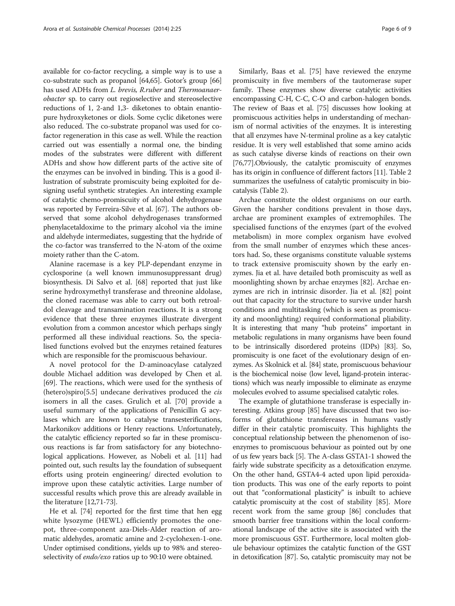available for co-factor recycling, a simple way is to use a co-substrate such as propanol [\[64,65](#page-8-0)]. Gotor's group [[66](#page-8-0)] has used ADHs from L. brevis, R.ruber and Thermoanaerobacter sp. to carry out regioselective and stereoselective reductions of 1, 2-and 1,3- diketones to obtain enantiopure hydroxyketones or diols. Some cyclic diketones were also reduced. The co-substrate propanol was used for cofactor regeneration in this case as well. While the reaction carried out was essentially a normal one, the binding modes of the substrates were different with different ADHs and show how different parts of the active site of the enzymes can be involved in binding. This is a good illustration of substrate promiscuity being exploited for designing useful synthetic strategies. An interesting example of catalytic chemo-promiscuity of alcohol dehydrogenase was reported by Ferreira-Silve et al. [\[67](#page-8-0)]. The authors observed that some alcohol dehydrogenases transformed phenylacetaldoxime to the primary alcohol via the imine and aldehyde intermediates, suggesting that the hydride of the co-factor was transferred to the N-atom of the oxime moiety rather than the C-atom.

Alanine racemase is a key PLP-dependant enzyme in cyclosporine (a well known immunosuppressant drug) biosynthesis. Di Salvo et al. [[68](#page-8-0)] reported that just like serine hydroxymethyl transferase and threonine aldolase, the cloned racemase was able to carry out both retroaldol cleavage and transamination reactions. It is a strong evidence that these three enzymes illustrate divergent evolution from a common ancestor which perhaps singly performed all these individual reactions. So, the specialised functions evolved but the enzymes retained features which are responsible for the promiscuous behaviour.

A novel protocol for the D-aminoacylase catalyzed double Michael addition was developed by Chen et al. [[69\]](#page-8-0). The reactions, which were used for the synthesis of (hetero)spiro[5.5] undecane derivatives produced the cis isomers in all the cases. Grulich et al. [\[70](#page-8-0)] provide a useful summary of the applications of Penicillin G acylases which are known to catalyse transesterifications, Markonikov additions or Henry reactions. Unfortunately, the catalytic efficiency reported so far in these promiscuous reactions is far from satisfactory for any biotechnological applications. However, as Nobeli et al. [\[11\]](#page-7-0) had pointed out, such results lay the foundation of subsequent efforts using protein engineering/ directed evolution to improve upon these catalytic activities. Large number of successful results which prove this are already available in the literature [\[12,](#page-7-0)[71-73\]](#page-8-0).

He et al. [\[74\]](#page-8-0) reported for the first time that hen egg white lysozyme (HEWL) efficiently promotes the onepot, three-component aza-Diels-Alder reaction of aromatic aldehydes, aromatic amine and 2-cyclohexen-1-one. Under optimised conditions, yields up to 98% and stereoselectivity of *endo/exo* ratios up to 90:10 were obtained.

Similarly, Baas et al. [\[75\]](#page-8-0) have reviewed the enzyme promiscuity in five members of the tautomerase super family. These enzymes show diverse catalytic activities encompassing C-H, C-C, C-O and carbon-halogen bonds. The review of Baas et al. [\[75\]](#page-8-0) discusses how looking at promiscuous activities helps in understanding of mechanism of normal activities of the enzymes. It is interesting that all enzymes have N-terminal proline as a key catalytic residue. It is very well established that some amino acids as such catalyse diverse kinds of reactions on their own [[76](#page-8-0),[77](#page-8-0)].Obviously, the catalytic promiscuity of enzymes has its origin in confluence of different factors [\[11](#page-7-0)]. Table [2](#page-6-0) summarizes the usefulness of catalytic promiscuity in biocatalysis (Table [2](#page-6-0)).

Archae constitute the oldest organisms on our earth. Given the harsher conditions prevalent in those days, archae are prominent examples of extremophiles. The specialised functions of the enzymes (part of the evolved metabolism) in more complex organism have evolved from the small number of enzymes which these ancestors had. So, these organisms constitute valuable systems to track extensive promiscuity shown by the early enzymes. Jia et al. have detailed both promiscuity as well as moonlighting shown by archae enzymes [[82\]](#page-8-0). Archae enzymes are rich in intrinsic disorder. Jia et al. [\[82](#page-8-0)] point out that capacity for the structure to survive under harsh conditions and multitasking (which is seen as promiscuity and moonlighting) required conformational pliability. It is interesting that many "hub proteins" important in metabolic regulations in many organisms have been found to be intrinsically disordered proteins (IDPs) [\[83\]](#page-8-0). So, promiscuity is one facet of the evolutionary design of enzymes. As Skolnick et al. [[84](#page-8-0)] state, promiscuous behaviour is the biochemical noise (low level, ligand-protein interactions) which was nearly impossible to eliminate as enzyme molecules evolved to assume specialised catalytic roles.

The example of glutathione transferase is especially interesting. Atkins group [[85\]](#page-8-0) have discussed that two isoforms of glutathione transfereases in humans vastly differ in their catalytic promiscuity. This highlights the conceptual relationship between the phenomenon of isoenzymes to promiscuous behaviour as pointed out by one of us few years back [\[5](#page-7-0)]. The A-class GSTA1-1 showed the fairly wide substrate specificity as a detoxification enzyme. On the other hand, GSTA4-4 acted upon lipid peroxidation products. This was one of the early reports to point out that "conformational plasticity" is inbuilt to achieve catalytic promiscuity at the cost of stability [\[85\]](#page-8-0). More recent work from the same group [\[86\]](#page-8-0) concludes that smooth barrier free transitions within the local conformational landscape of the active site is associated with the more promiscuous GST. Furthermore, local molten globule behaviour optimizes the catalytic function of the GST in detoxification [\[87\]](#page-8-0). So, catalytic promiscuity may not be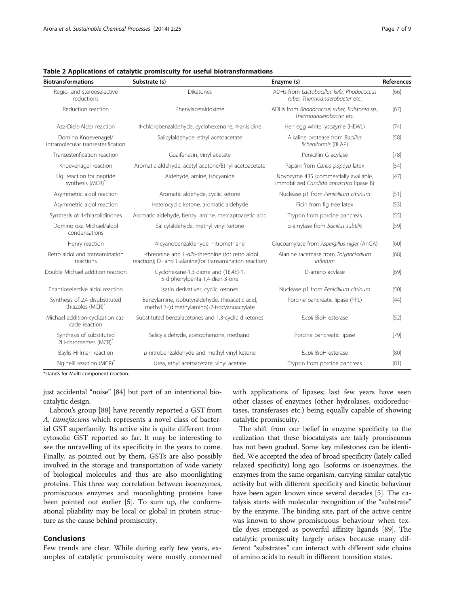| <b>Biotransformations</b>                                      | Substrate (s)                                                                                                 | Enzyme (s)                                                                        | References |
|----------------------------------------------------------------|---------------------------------------------------------------------------------------------------------------|-----------------------------------------------------------------------------------|------------|
| Regio- and stereoselective<br>reductions                       | <b>Diketones</b>                                                                                              | ADHs from Lactobacillus kefir, Rhodococcus<br>ruber, Thermoanaerobacter etc.      | [66]       |
| Reduction reaction                                             | Phenylacetaldoxime                                                                                            | ADHs from Rhodococcus ruber, Ralstonia sp.,<br>Thermoangerobacter etc.            | [67]       |
| Aza-Diels-Alder reaction                                       | 4-chlorobenzaldehyde, cyclohexenone, 4-anisidine                                                              | Hen egg white lysozyme (HEWL)                                                     | $[74]$     |
| Domino Knoevenagel/<br>intramolecular transesterification      | Salicylaldehyde, ethyl acetoacetate                                                                           | Alkaline protease from Bacillus<br>licheniformis (BLAP)                           | $[58]$     |
| Transesterification reaction                                   | Guaifenesin, vinyl acetate                                                                                    | Penicillin G acylase                                                              | $[78]$     |
| Knoevenagel reaction                                           | Aromatic aldehyde, acetyl acetone/Ethyl acetoacetate                                                          | Papain from Carica papaya latex                                                   | $[54]$     |
| Ugi reaction for peptide<br>synthesis (MCR)                    | Aldehyde, amine, isocyanide                                                                                   | Novozyme 435 (commercially available,<br>immobilized Candida antarctica lipase B) | $[47]$     |
| Asymmetric aldol reaction                                      | Aromatic aldehyde, cyclic ketone                                                                              | Nuclease p1 from Penicillium citrinum                                             | $[51]$     |
| Asymmetric aldol reaction                                      | Heterocyclic ketone, aromatic aldehyde                                                                        | Ficin from fig tree latex                                                         | $[53]$     |
| Synthesis of 4-thiazolidinones                                 | Aromatic aldehyde, benzyl amine, mercaptoacetic acid                                                          | Trypsin from porcine pancreas                                                     | $[55]$     |
| Domino oxa-Michael/aldol<br>condensations                      | Salicylaldehyde, methyl vinyl ketone                                                                          | a-amylase from Bacillus subtilis                                                  | $[59]$     |
| Henry reaction                                                 | 4-cyanobenzaldehyde, nitromethane                                                                             | Glucoamylase from Aspergillus niger (AnGA)                                        | [60]       |
| Retro aldol and transamination<br>reactions                    | L-threonine and L-allo-threonine (for retro aldol<br>reaction); D- and L-alanine(for transamination reaction) | Alanine racemase from Tolypocladium<br>inflatum                                   | [68]       |
| Double Michael addition reaction                               | Cyclohexane-1,3-dione and (1E,4E)-1,<br>5-diphenylpenta-1,4-dien-3-one                                        | D-amino acylase                                                                   | [69]       |
| Enantioselective aldol reaction                                | Isatin derivatives, cyclic ketones                                                                            | Nuclease p1 from Penicillium citrinum                                             | [50]       |
| Synthesis of 2,4-disubstituted<br>thiazoles (MCR) <sup>®</sup> | Benzylamine, isobutyraldehyde, thioacetic acid,<br>methyl 3-(dimethylamino)-2-isocyanoacrylate                | Porcine pancreatic lipase (PPL)                                                   | $[44]$     |
| Michael addition-cyclization cas-<br>cade reaction             | Substituted benzalacetones and 1,3-cyclic diketones                                                           | Ecoli BioH esterase                                                               | [52]       |
| Synthesis of substituted<br>2H-chromemes (MCR)                 | Salicylaldehyde, acetophenone, methanol                                                                       | Porcine pancreatic lipase                                                         | $[79]$     |
| Baylis-Hillman reaction                                        | p-nitrobenzaldehyde and methyl vinyl ketone                                                                   | E.coli BioH esterase                                                              | [80]       |
| Biginelli reaction (MCR) <sup>*</sup>                          | Urea, ethyl acetoacetate, vinyl acetate                                                                       | Trypsin from porcine pancreas                                                     | $[81]$     |

<span id="page-6-0"></span>Table 2 Applications of catalytic promiscuity for useful biotransformations

\*stands for Multi-component reaction.

just accidental "noise" [[84](#page-8-0)] but part of an intentional biocatalytic design.

Labrou's group [\[88\]](#page-8-0) have recently reported a GST from A. tumefaciens which represents a novel class of bacterial GST superfamily. Its active site is quite different from cytosolic GST reported so far. It may be interesting to see the unravelling of its specificity in the years to come. Finally, as pointed out by them, GSTs are also possibly involved in the storage and transportation of wide variety of biological molecules and thus are also moonlighting proteins. This three way correlation between isoenzymes, promiscuous enzymes and moonlighting proteins have been pointed out earlier [\[5](#page-7-0)]. To sum up, the conformational pliability may be local or global in protein structure as the cause behind promiscuity.

### Conclusions

Few trends are clear. While during early few years, examples of catalytic promiscuity were mostly concerned

with applications of lipases; last few years have seen other classes of enzymes (other hydrolases, oxidoreductases, transferases etc.) being equally capable of showing catalytic promiscuity.

The shift from our belief in enzyme specificity to the realization that these biocatalysts are fairly promiscuous has not been gradual. Some key milestones can be identified. We accepted the idea of broad specificity (lately called relaxed specificity) long ago. Isoforms or isoenzymes, the enzymes from the same organism, carrying similar catalytic activity but with different specificity and kinetic behaviour have been again known since several decades [\[5\]](#page-7-0). The catalysis starts with molecular recognition of the "substrate" by the enzyme. The binding site, part of the active centre was known to show promiscuous behaviour when textile dyes emerged as powerful affinity ligands [\[89\]](#page-8-0). The catalytic promiscuity largely arises because many different "substrates" can interact with different side chains of amino acids to result in different transition states.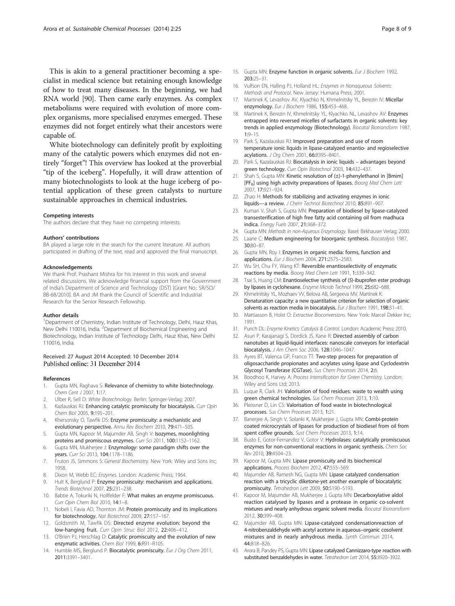<span id="page-7-0"></span>This is akin to a general practitioner becoming a specialist in medical science but retaining enough knowledge of how to treat many diseases. In the beginning, we had RNA world [[90](#page-8-0)]. Then came early enzymes. As complex metabolisms were required with evolution of more complex organisms, more specialised enzymes emerged. These enzymes did not forget entirely what their ancestors were capable of.

White biotechnology can definitely profit by exploiting many of the catalytic powers which enzymes did not entirely "forget"! This overview has looked at the proverbial "tip of the iceberg". Hopefully, it will draw attention of many biotechnologists to look at the huge iceberg of potential application of these green catalysts to nurture sustainable approaches in chemical industries.

#### Competing interests

The authors declare that they have no competing interests.

#### Authors' contributions

BA played a large role in the search for the current literature. All authors participated in drafting of the text, read and approved the final manuscript.

#### Acknowledgements

We thank Prof. Prashant Mishra for his interest in this work and several related discussions. We acknowledge financial support from the Government of India's Department of Science and Technology (DST) [Grant No.: SR/SO/ BB-68/2010]. BA and JM thank the Council of Scientific and Industrial Research for the Senior Research Fellowship.

#### Author details

<sup>1</sup>Department of Chemistry, Indian Institute of Technology, Delhi, Hauz Khas, New Delhi 110016, India. <sup>2</sup>Department of Biochemical Engineering and Biotechnology, Indian Institute of Technology Delhi, Hauz Khas, New Delhi 110016, India.

### Received: 27 August 2014 Accepted: 10 December 2014 Published online: 31 December 2014

#### References

- Gupta MN, Raghava S: Relevance of chemistry to white biotechnology. Chem Cent J 2007, 1:17.
- 2. Ulber R, Sell D: White Biotechnology. Berlin: Springer-Verlag; 2007.
- 3. Kazlauskas RJ: Enhancing catalytic promiscuity for biocatalysis. Curr Opin Chem Biol 2005, 9:195–201.
- 4. Khersonsky O, Tawfik DS: Enzyme promiscuity: a mechanistic and evolutionary perspective. Annu Rev Biochem 2010, 79:471–505.
- 5. Gupta MN, Kapoor M, Majumder AB, Singh V: Isozymes, moonlighting proteins and promiscous enzymes. Curr Sci 2011, 100:1152-1162.
- 6. Gupta MN, Mukherjee J: Enzymology: some paradigm shifts over the years. Curr Sci 2013, 104:1178–1186.
- 7. Fruton JS, Simmons S: General Biochemistry. New York: Wiley and Sons Inc; 1958.
- 8. Dixon M, Webb EC: Enzymes. London: Academic Press; 1964.
- Hult K, Berglund P: Enzyme promiscuity: mechanism and applications. Trends Biotechnol 2007, 25:231–238.
- 10. Babtie A, Tokuriki N, Hollfelder F: What makes an enzyme promiscuous. Curr Opin Chem Biol 2010, 14:1–8.
- 11. Nobeli I, Favia AD, Thornton JM: Protein promiscuity and its implications for biotechnology. Nat Biotechnol 2009, 27:157–167.
- 12. Goldsmith M, Tawfik DS: Directed enzyme evolution: beyond the low-hanging fruit. Curr Opin Struc Biol 2012, 22:406–412.
- O'Brien PJ, Herschlag D: Catalytic promiscuity and the evolution of new enzymatic activities. Chem Biol 1999, 6:R91–R105.
- 14. Humble MS, Berglund P: Biocatalytic promiscuity. Eur J Org Chem 2011, 2011:3391–3401.
- 16. Vulfson EN, Halling PJ, Holland HL: Enzymes in Nongqueous Solvents: Methods and Protocol. New Jersey: Humana Press; 2001.
- 17. Martinek K, Levashov AV, Klyachko N, Khmelnitsky YL, Berezin IV: Micellar enzymology. Eur J Biochem 1986, 155:453-468.
- 18. Martinek K, Berezin IV, Khmelnitsky YL, Klyachko NL, Levashov AV: Enzymes entrapped into reversed micelles of surfactants in organic solvents: key trends in applied enzymology (Biotechnology). Biocatal Biotransform 1987, 1:9–15.
- 19. Park S, Kazalauskas RJ: Improved preparation and use of room temperature ionic liquids in lipase-catalyzed enantio- and regioselective acylations. J Org Chem 2001, 66:8395–8401.
- 20. Park S, Kazalauskas RJ: Biocatalysis in ionic liquids advantages beyond green technology. Curr Opin Biotechnol 2003, 14:432–437.
- 21. Shah S, Gupta MN: Kinetic resolution of (±)-1-phenylethanol in [Bmim] [PF<sub>6</sub>] using high activity preparations of lipases. Bioorg Med Chem Lett 2007, 17:921–924.
- 22. Zhao H: Methods for stabilizing and activating enzymes in ionic liquids—a review. J Chem Technol Biotechnol 2010, 85:891–907.
- 23. Kumari V, Shah S, Gupta MN: Preparation of biodiesel by lipase-catalyzed transesterification of high free fatty acid containing oil from madhuca indica. Energy Fuels 2007, 21:368–372.
- 24. Gupta MN: Methods in non-Aqueous Enzymology. Basel: Birkhauser Verlag; 2000.
- 25. Laane C: Medium engineering for bioorganic synthesis. Biocatalysis 1987, 30:80–87.
- 26. Gupta MN, Roy I: Enzymes in organic media: forms, function and applications. Eur J Biochem 2004, 271:2575–2583.
- 27. Wu SH, Chu FY, Wang KT: Reversible enantioselectivity of enzymatic reactions by media. Bioorg Med Chem Lett 1991, 1:339–342.
- 28. Tsai S, Huang CM: Enantioselective synthesis of (S)-ibuprofen ester prodrugs by lipases in cyclohexane. Enzyme Microb Technol 1999, 25:682–688.
- 29. Khmelnitsky YL, Mozhaev VV, Belova AB, Sergeeva MV, Martinek K: Denaturation capacity: a new quantitative criterion for selection of organic solvents as reaction media in biocatalysis. Eur J Biochem 1991, 198:31-41.
- 30. Mattiasson B, Holst O: Extractive Bioconversions. New York: Marcel Dekker Inc; 1991.
- 31. Purich DL: Enzyme Kinetics: Catalysis & Control. London: Academic Press; 2010.
- 32. Asuri P, Karajanagi S, Dordick JS, Kane R: Directed assembly of carbon nanotubes at liquid-liquid interfaces: nanoscale conveyors for interfacial biocatalysis. J Am Chem Soc 2006, 128:1046–1047.
- 33. Ayres BT, Valenca GP, Franco TT: Two-step process for preparation of oligosaccharide propionates and acrylates using lipase and Cyclodextrin Glycosyl Transferase (CGTase). Sus Chem Processes 2014, 2:6.
- 34. Boodhoo K, Harvey A: Process Intensification for Green Chemistry. London: Wiley and Sons Ltd; 2013.
- 35. Luque R, Clark JH: Valorisation of food residues: waste to wealth using green chemical technologies. Sus Chem Processes 2013, 1:10.
- 36. Pleissner D, Lin CS: Valorisation of food waste in biotechnological processes. Sus Chem Processes 2013, 1:21.
- 37. Banerjee A, Singh V, Solanki K, Mukherjee J, Gupta MN: Combi-protein coated microcrystals of lipases for production of biodiesel from oil from spent coffee grounds. Sust Chem Processes 2013, 1:14.
- 38. Busto E, Gotor-Fernandez V, Gotor V: Hydrolases: catalytically promiscuous enzymes for non-conventional reactions in organic synthesis. Chem Soc Rev 2010, 39:4504–23.
- 39. Kapoor M, Gupta MN: Lipase promiscuity and its biochemical applications. Process Biochem 2012, 47:555–569.
- Majumder AB, Ramesh NG, Gupta MN: Lipase catalyzed condensation reaction with a tricyclic diketone-yet another example of biocatalytic promiscuity. Tetrahedron Lett 2009, 50:5190–5193.
- 41. Kapoor M, Majumder AB, Mukherjee J, Gupta MN: Decarboxylative aldol reaction catalysed by lipases and a protease in organic co-solvent mixtures and nearly anhydrous organic solvent media. Biocatal Biotransform 2012, 30:399–408.
- 42. Majumder AB, Gupta MN: Lipase-catalyzed condensationreaction of 4-nitrobenzaldehyde with acetyl acetone in aqueous–organic cosolvent mixtures and in nearly anhydrous media. Synth Commun 2014, 44:818–826.
- 43. Arora B, Pandey PS, Gupta MN: Lipase catalyzed Cannizzaro-type reaction with substituted benzaldehydes in water. Tetrahedron Lett 2014, 55:3920–3922.